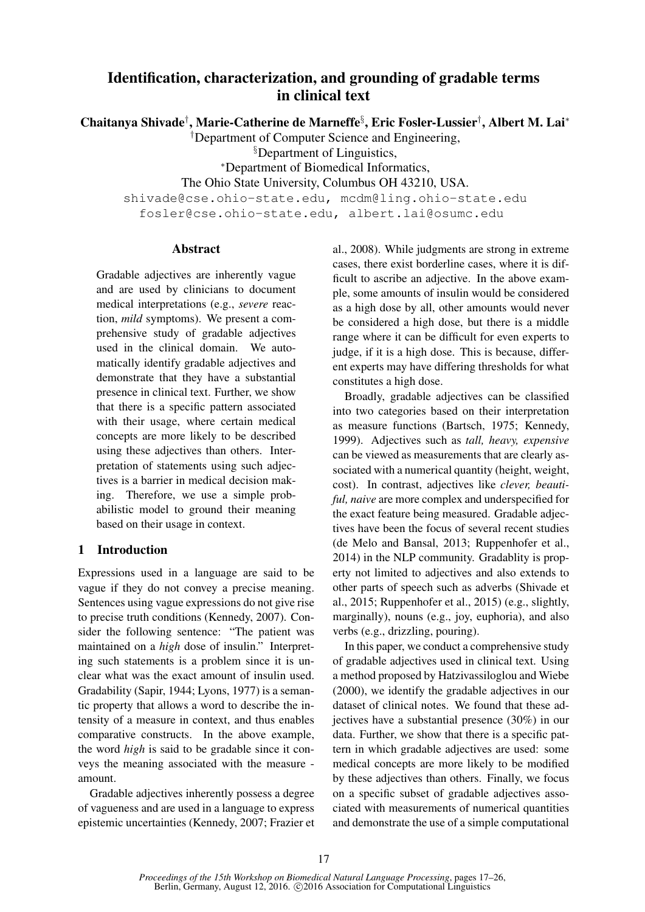# Identification, characterization, and grounding of gradable terms in clinical text

Chaitanya Shivade† , Marie-Catherine de Marneffe§ , Eric Fosler-Lussier† , Albert M. Lai<sup>∗</sup>

†Department of Computer Science and Engineering,

§Department of Linguistics,

<sup>∗</sup>Department of Biomedical Informatics,

The Ohio State University, Columbus OH 43210, USA.

shivade@cse.ohio-state.edu, mcdm@ling.ohio-state.edu fosler@cse.ohio-state.edu, albert.lai@osumc.edu

### Abstract

Gradable adjectives are inherently vague and are used by clinicians to document medical interpretations (e.g., *severe* reaction, *mild* symptoms). We present a comprehensive study of gradable adjectives used in the clinical domain. We automatically identify gradable adjectives and demonstrate that they have a substantial presence in clinical text. Further, we show that there is a specific pattern associated with their usage, where certain medical concepts are more likely to be described using these adjectives than others. Interpretation of statements using such adjectives is a barrier in medical decision making. Therefore, we use a simple probabilistic model to ground their meaning based on their usage in context.

# 1 Introduction

Expressions used in a language are said to be vague if they do not convey a precise meaning. Sentences using vague expressions do not give rise to precise truth conditions (Kennedy, 2007). Consider the following sentence: "The patient was maintained on a *high* dose of insulin." Interpreting such statements is a problem since it is unclear what was the exact amount of insulin used. Gradability (Sapir, 1944; Lyons, 1977) is a semantic property that allows a word to describe the intensity of a measure in context, and thus enables comparative constructs. In the above example, the word *high* is said to be gradable since it conveys the meaning associated with the measure amount.

Gradable adjectives inherently possess a degree of vagueness and are used in a language to express epistemic uncertainties (Kennedy, 2007; Frazier et

al., 2008). While judgments are strong in extreme cases, there exist borderline cases, where it is difficult to ascribe an adjective. In the above example, some amounts of insulin would be considered as a high dose by all, other amounts would never be considered a high dose, but there is a middle range where it can be difficult for even experts to judge, if it is a high dose. This is because, different experts may have differing thresholds for what constitutes a high dose.

Broadly, gradable adjectives can be classified into two categories based on their interpretation as measure functions (Bartsch, 1975; Kennedy, 1999). Adjectives such as *tall, heavy, expensive* can be viewed as measurements that are clearly associated with a numerical quantity (height, weight, cost). In contrast, adjectives like *clever, beautiful, naive* are more complex and underspecified for the exact feature being measured. Gradable adjectives have been the focus of several recent studies (de Melo and Bansal, 2013; Ruppenhofer et al., 2014) in the NLP community. Gradablity is property not limited to adjectives and also extends to other parts of speech such as adverbs (Shivade et al., 2015; Ruppenhofer et al., 2015) (e.g., slightly, marginally), nouns (e.g., joy, euphoria), and also verbs (e.g., drizzling, pouring).

In this paper, we conduct a comprehensive study of gradable adjectives used in clinical text. Using a method proposed by Hatzivassiloglou and Wiebe (2000), we identify the gradable adjectives in our dataset of clinical notes. We found that these adjectives have a substantial presence (30%) in our data. Further, we show that there is a specific pattern in which gradable adjectives are used: some medical concepts are more likely to be modified by these adjectives than others. Finally, we focus on a specific subset of gradable adjectives associated with measurements of numerical quantities and demonstrate the use of a simple computational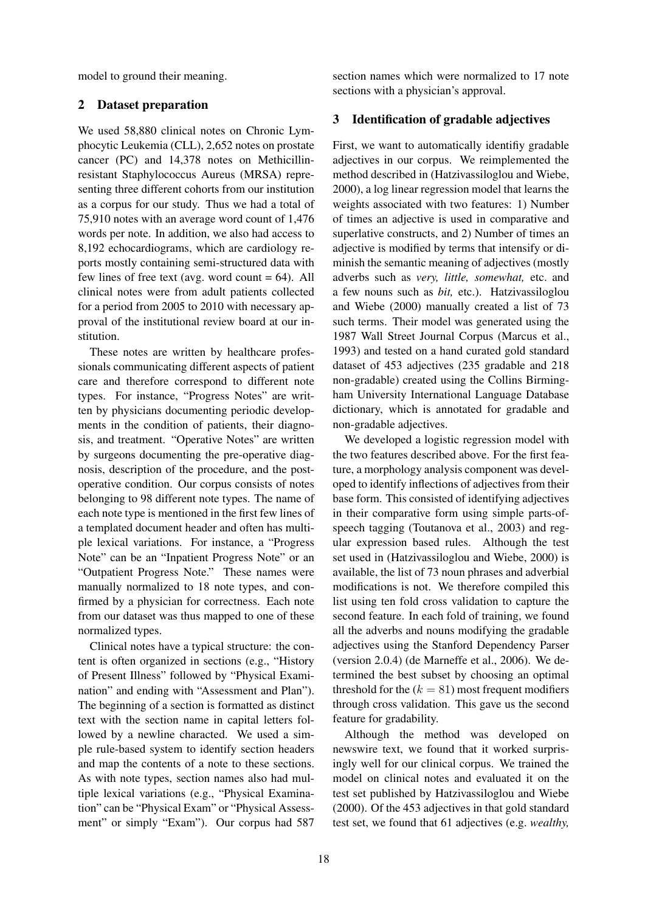model to ground their meaning.

### 2 Dataset preparation

We used 58,880 clinical notes on Chronic Lymphocytic Leukemia (CLL), 2,652 notes on prostate cancer (PC) and 14,378 notes on Methicillinresistant Staphylococcus Aureus (MRSA) representing three different cohorts from our institution as a corpus for our study. Thus we had a total of 75,910 notes with an average word count of 1,476 words per note. In addition, we also had access to 8,192 echocardiograms, which are cardiology reports mostly containing semi-structured data with few lines of free text (avg. word count  $= 64$ ). All clinical notes were from adult patients collected for a period from 2005 to 2010 with necessary approval of the institutional review board at our institution.

These notes are written by healthcare professionals communicating different aspects of patient care and therefore correspond to different note types. For instance, "Progress Notes" are written by physicians documenting periodic developments in the condition of patients, their diagnosis, and treatment. "Operative Notes" are written by surgeons documenting the pre-operative diagnosis, description of the procedure, and the postoperative condition. Our corpus consists of notes belonging to 98 different note types. The name of each note type is mentioned in the first few lines of a templated document header and often has multiple lexical variations. For instance, a "Progress Note" can be an "Inpatient Progress Note" or an "Outpatient Progress Note." These names were manually normalized to 18 note types, and confirmed by a physician for correctness. Each note from our dataset was thus mapped to one of these normalized types.

Clinical notes have a typical structure: the content is often organized in sections (e.g., "History of Present Illness" followed by "Physical Examination" and ending with "Assessment and Plan"). The beginning of a section is formatted as distinct text with the section name in capital letters followed by a newline characted. We used a simple rule-based system to identify section headers and map the contents of a note to these sections. As with note types, section names also had multiple lexical variations (e.g., "Physical Examination" can be "Physical Exam" or "Physical Assessment" or simply "Exam"). Our corpus had 587

section names which were normalized to 17 note sections with a physician's approval.

### 3 Identification of gradable adjectives

First, we want to automatically identifiy gradable adjectives in our corpus. We reimplemented the method described in (Hatzivassiloglou and Wiebe, 2000), a log linear regression model that learns the weights associated with two features: 1) Number of times an adjective is used in comparative and superlative constructs, and 2) Number of times an adjective is modified by terms that intensify or diminish the semantic meaning of adjectives (mostly adverbs such as *very, little, somewhat,* etc. and a few nouns such as *bit,* etc.). Hatzivassiloglou and Wiebe (2000) manually created a list of 73 such terms. Their model was generated using the 1987 Wall Street Journal Corpus (Marcus et al., 1993) and tested on a hand curated gold standard dataset of 453 adjectives (235 gradable and 218 non-gradable) created using the Collins Birmingham University International Language Database dictionary, which is annotated for gradable and non-gradable adjectives.

We developed a logistic regression model with the two features described above. For the first feature, a morphology analysis component was developed to identify inflections of adjectives from their base form. This consisted of identifying adjectives in their comparative form using simple parts-ofspeech tagging (Toutanova et al., 2003) and regular expression based rules. Although the test set used in (Hatzivassiloglou and Wiebe, 2000) is available, the list of 73 noun phrases and adverbial modifications is not. We therefore compiled this list using ten fold cross validation to capture the second feature. In each fold of training, we found all the adverbs and nouns modifying the gradable adjectives using the Stanford Dependency Parser (version 2.0.4) (de Marneffe et al., 2006). We determined the best subset by choosing an optimal threshold for the  $(k = 81)$  most frequent modifiers through cross validation. This gave us the second feature for gradability.

Although the method was developed on newswire text, we found that it worked surprisingly well for our clinical corpus. We trained the model on clinical notes and evaluated it on the test set published by Hatzivassiloglou and Wiebe (2000). Of the 453 adjectives in that gold standard test set, we found that 61 adjectives (e.g. *wealthy,*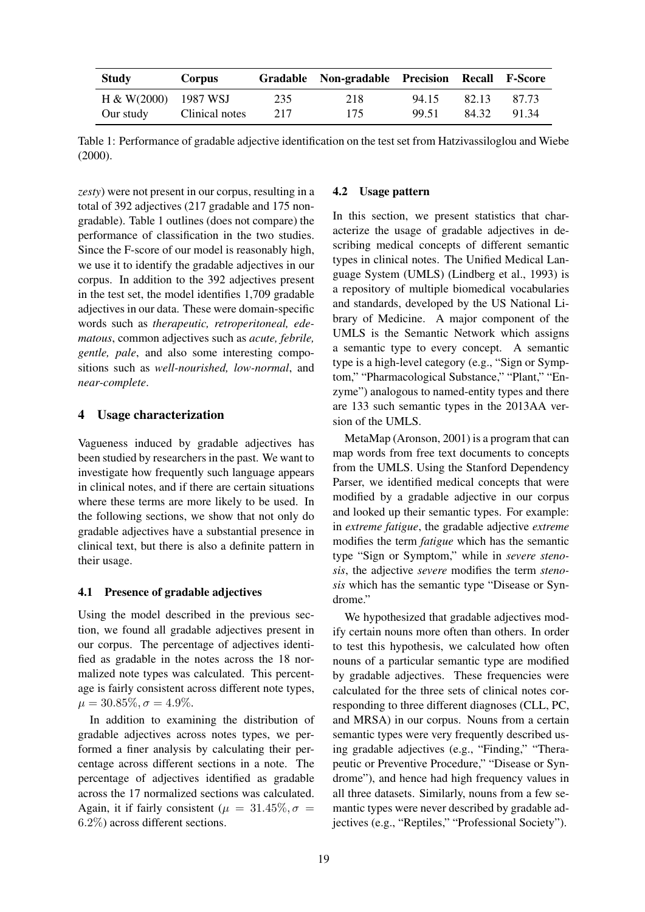| Study                 | Corpus         |     | Gradable Non-gradable Precision Recall F-Score |       |       |       |
|-----------------------|----------------|-----|------------------------------------------------|-------|-------|-------|
| $H & (2000)$ 1987 WSJ |                | 235 | 218                                            | 94.15 | 82.13 | 87.73 |
| Our study             | Clinical notes | 217 | 175                                            | 99.51 | 84.32 | 91.34 |

Table 1: Performance of gradable adjective identification on the test set from Hatzivassiloglou and Wiebe (2000).

*zesty*) were not present in our corpus, resulting in a total of 392 adjectives (217 gradable and 175 nongradable). Table 1 outlines (does not compare) the performance of classification in the two studies. Since the F-score of our model is reasonably high, we use it to identify the gradable adjectives in our corpus. In addition to the 392 adjectives present in the test set, the model identifies 1,709 gradable adjectives in our data. These were domain-specific words such as *therapeutic, retroperitoneal, edematous*, common adjectives such as *acute, febrile, gentle, pale*, and also some interesting compositions such as *well-nourished, low-normal*, and *near-complete*.

### 4 Usage characterization

Vagueness induced by gradable adjectives has been studied by researchers in the past. We want to investigate how frequently such language appears in clinical notes, and if there are certain situations where these terms are more likely to be used. In the following sections, we show that not only do gradable adjectives have a substantial presence in clinical text, but there is also a definite pattern in their usage.

#### 4.1 Presence of gradable adjectives

Using the model described in the previous section, we found all gradable adjectives present in our corpus. The percentage of adjectives identified as gradable in the notes across the 18 normalized note types was calculated. This percentage is fairly consistent across different note types,  $\mu = 30.85\%, \sigma = 4.9\%.$ 

In addition to examining the distribution of gradable adjectives across notes types, we performed a finer analysis by calculating their percentage across different sections in a note. The percentage of adjectives identified as gradable across the 17 normalized sections was calculated. Again, it if fairly consistent ( $\mu = 31.45\%, \sigma =$ 6.2%) across different sections.

#### 4.2 Usage pattern

In this section, we present statistics that characterize the usage of gradable adjectives in describing medical concepts of different semantic types in clinical notes. The Unified Medical Language System (UMLS) (Lindberg et al., 1993) is a repository of multiple biomedical vocabularies and standards, developed by the US National Library of Medicine. A major component of the UMLS is the Semantic Network which assigns a semantic type to every concept. A semantic type is a high-level category (e.g., "Sign or Symptom," "Pharmacological Substance," "Plant," "Enzyme") analogous to named-entity types and there are 133 such semantic types in the 2013AA version of the UMLS.

MetaMap (Aronson, 2001) is a program that can map words from free text documents to concepts from the UMLS. Using the Stanford Dependency Parser, we identified medical concepts that were modified by a gradable adjective in our corpus and looked up their semantic types. For example: in *extreme fatigue*, the gradable adjective *extreme* modifies the term *fatigue* which has the semantic type "Sign or Symptom," while in *severe stenosis*, the adjective *severe* modifies the term *stenosis* which has the semantic type "Disease or Syndrome."

We hypothesized that gradable adjectives modify certain nouns more often than others. In order to test this hypothesis, we calculated how often nouns of a particular semantic type are modified by gradable adjectives. These frequencies were calculated for the three sets of clinical notes corresponding to three different diagnoses (CLL, PC, and MRSA) in our corpus. Nouns from a certain semantic types were very frequently described using gradable adjectives (e.g., "Finding," "Therapeutic or Preventive Procedure," "Disease or Syndrome"), and hence had high frequency values in all three datasets. Similarly, nouns from a few semantic types were never described by gradable adjectives (e.g., "Reptiles," "Professional Society").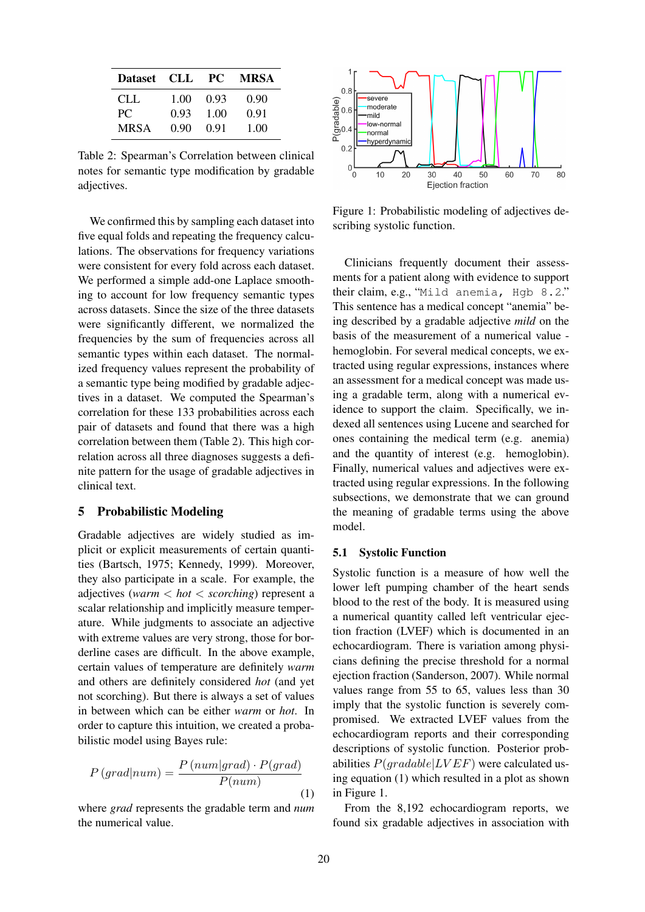| Dataset CLL |      | PC . | <b>MRSA</b> |
|-------------|------|------|-------------|
| CLL.        | 1.00 | 0.93 | 0.90        |
| PС          | 0.93 | 1.00 | 0.91        |
| MRSA        | 0.90 | 0.91 | 1.00        |

Table 2: Spearman's Correlation between clinical notes for semantic type modification by gradable adjectives.

We confirmed this by sampling each dataset into five equal folds and repeating the frequency calculations. The observations for frequency variations were consistent for every fold across each dataset. We performed a simple add-one Laplace smoothing to account for low frequency semantic types across datasets. Since the size of the three datasets were significantly different, we normalized the frequencies by the sum of frequencies across all semantic types within each dataset. The normalized frequency values represent the probability of a semantic type being modified by gradable adjectives in a dataset. We computed the Spearman's correlation for these 133 probabilities across each pair of datasets and found that there was a high correlation between them (Table 2). This high correlation across all three diagnoses suggests a definite pattern for the usage of gradable adjectives in clinical text.

### 5 Probabilistic Modeling

Gradable adjectives are widely studied as implicit or explicit measurements of certain quantities (Bartsch, 1975; Kennedy, 1999). Moreover, they also participate in a scale. For example, the adjectives (*warm* < *hot* < *scorching*) represent a scalar relationship and implicitly measure temperature. While judgments to associate an adjective with extreme values are very strong, those for borderline cases are difficult. In the above example, certain values of temperature are definitely *warm* and others are definitely considered *hot* (and yet not scorching). But there is always a set of values in between which can be either *warm* or *hot*. In order to capture this intuition, we created a probabilistic model using Bayes rule:

$$
P(grad|num) = \frac{P(num|grad) \cdot P(grad)}{P(num)} \tag{1}
$$

where *grad* represents the gradable term and *num* the numerical value.



Figure 1: Probabilistic modeling of adjectives describing systolic function.

Clinicians frequently document their assessments for a patient along with evidence to support their claim, e.g., "Mild anemia, Hgb 8.2." This sentence has a medical concept "anemia" being described by a gradable adjective *mild* on the basis of the measurement of a numerical value hemoglobin. For several medical concepts, we extracted using regular expressions, instances where an assessment for a medical concept was made using a gradable term, along with a numerical evidence to support the claim. Specifically, we indexed all sentences using Lucene and searched for ones containing the medical term (e.g. anemia) and the quantity of interest (e.g. hemoglobin). Finally, numerical values and adjectives were extracted using regular expressions. In the following subsections, we demonstrate that we can ground the meaning of gradable terms using the above model.

### 5.1 Systolic Function

Systolic function is a measure of how well the lower left pumping chamber of the heart sends blood to the rest of the body. It is measured using a numerical quantity called left ventricular ejection fraction (LVEF) which is documented in an echocardiogram. There is variation among physicians defining the precise threshold for a normal ejection fraction (Sanderson, 2007). While normal values range from 55 to 65, values less than 30 imply that the systolic function is severely compromised. We extracted LVEF values from the echocardiogram reports and their corresponding descriptions of systolic function. Posterior probabilities  $P(gradable|LVEF)$  were calculated using equation (1) which resulted in a plot as shown in Figure 1.

From the 8,192 echocardiogram reports, we found six gradable adjectives in association with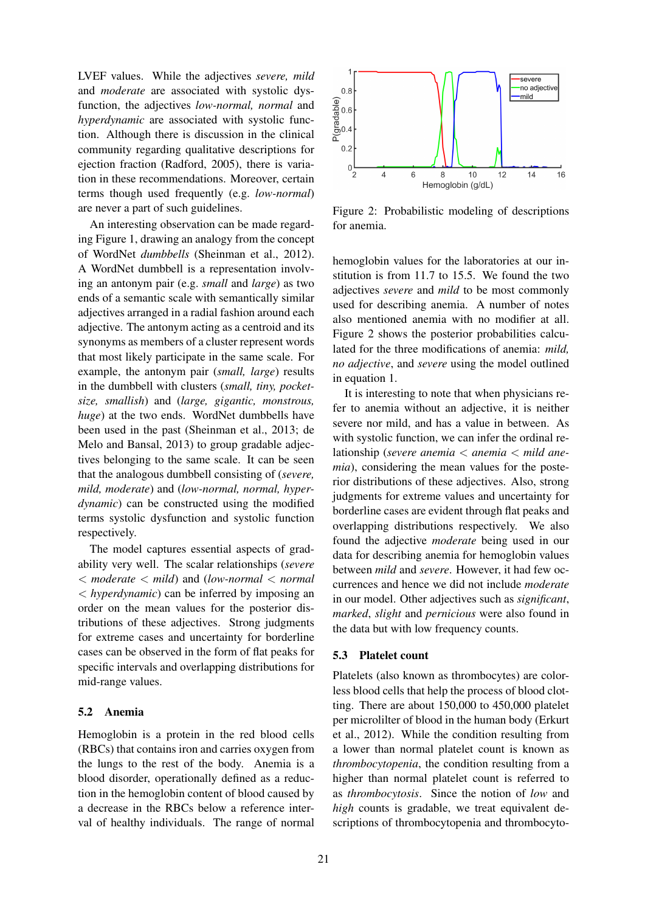LVEF values. While the adjectives *severe, mild* and *moderate* are associated with systolic dysfunction, the adjectives *low-normal, normal* and *hyperdynamic* are associated with systolic function. Although there is discussion in the clinical community regarding qualitative descriptions for ejection fraction (Radford, 2005), there is variation in these recommendations. Moreover, certain terms though used frequently (e.g. *low-normal*) are never a part of such guidelines.

An interesting observation can be made regarding Figure 1, drawing an analogy from the concept of WordNet *dumbbells* (Sheinman et al., 2012). A WordNet dumbbell is a representation involving an antonym pair (e.g. *small* and *large*) as two ends of a semantic scale with semantically similar adjectives arranged in a radial fashion around each adjective. The antonym acting as a centroid and its synonyms as members of a cluster represent words that most likely participate in the same scale. For example, the antonym pair (*small, large*) results in the dumbbell with clusters (*small, tiny, pocketsize, smallish*) and (*large, gigantic, monstrous, huge*) at the two ends. WordNet dumbbells have been used in the past (Sheinman et al., 2013; de Melo and Bansal, 2013) to group gradable adjectives belonging to the same scale. It can be seen that the analogous dumbbell consisting of (*severe, mild, moderate*) and (*low-normal, normal, hyperdynamic*) can be constructed using the modified terms systolic dysfunction and systolic function respectively.

The model captures essential aspects of gradability very well. The scalar relationships (*severe* < *moderate* < *mild*) and (*low-normal* < *normal* < *hyperdynamic*) can be inferred by imposing an order on the mean values for the posterior distributions of these adjectives. Strong judgments for extreme cases and uncertainty for borderline cases can be observed in the form of flat peaks for specific intervals and overlapping distributions for mid-range values.

### 5.2 Anemia

Hemoglobin is a protein in the red blood cells (RBCs) that contains iron and carries oxygen from the lungs to the rest of the body. Anemia is a blood disorder, operationally defined as a reduction in the hemoglobin content of blood caused by a decrease in the RBCs below a reference interval of healthy individuals. The range of normal



Figure 2: Probabilistic modeling of descriptions for anemia.

hemoglobin values for the laboratories at our institution is from 11.7 to 15.5. We found the two adjectives *severe* and *mild* to be most commonly used for describing anemia. A number of notes also mentioned anemia with no modifier at all. Figure 2 shows the posterior probabilities calculated for the three modifications of anemia: *mild, no adjective*, and *severe* using the model outlined in equation 1.

It is interesting to note that when physicians refer to anemia without an adjective, it is neither severe nor mild, and has a value in between. As with systolic function, we can infer the ordinal relationship (*severe anemia* < *anemia* < *mild anemia*), considering the mean values for the posterior distributions of these adjectives. Also, strong judgments for extreme values and uncertainty for borderline cases are evident through flat peaks and overlapping distributions respectively. We also found the adjective *moderate* being used in our data for describing anemia for hemoglobin values between *mild* and *severe*. However, it had few occurrences and hence we did not include *moderate* in our model. Other adjectives such as *significant*, *marked*, *slight* and *pernicious* were also found in the data but with low frequency counts.

#### 5.3 Platelet count

Platelets (also known as thrombocytes) are colorless blood cells that help the process of blood clotting. There are about 150,000 to 450,000 platelet per microlilter of blood in the human body (Erkurt et al., 2012). While the condition resulting from a lower than normal platelet count is known as *thrombocytopenia*, the condition resulting from a higher than normal platelet count is referred to as *thrombocytosis*. Since the notion of *low* and *high* counts is gradable, we treat equivalent descriptions of thrombocytopenia and thrombocyto-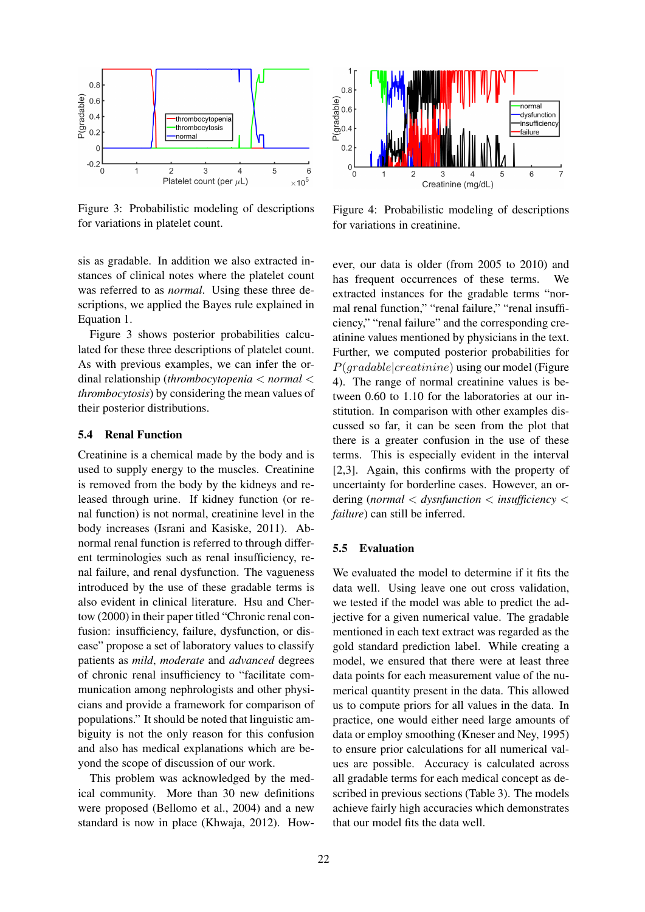

Figure 3: Probabilistic modeling of descriptions for variations in platelet count.

sis as gradable. In addition we also extracted instances of clinical notes where the platelet count was referred to as *normal*. Using these three descriptions, we applied the Bayes rule explained in Equation 1.

Figure 3 shows posterior probabilities calculated for these three descriptions of platelet count. As with previous examples, we can infer the ordinal relationship (*thrombocytopenia* < *normal* < *thrombocytosis*) by considering the mean values of their posterior distributions.

### 5.4 Renal Function

Creatinine is a chemical made by the body and is used to supply energy to the muscles. Creatinine is removed from the body by the kidneys and released through urine. If kidney function (or renal function) is not normal, creatinine level in the body increases (Israni and Kasiske, 2011). Abnormal renal function is referred to through different terminologies such as renal insufficiency, renal failure, and renal dysfunction. The vagueness introduced by the use of these gradable terms is also evident in clinical literature. Hsu and Chertow (2000) in their paper titled "Chronic renal confusion: insufficiency, failure, dysfunction, or disease" propose a set of laboratory values to classify patients as *mild*, *moderate* and *advanced* degrees of chronic renal insufficiency to "facilitate communication among nephrologists and other physicians and provide a framework for comparison of populations." It should be noted that linguistic ambiguity is not the only reason for this confusion and also has medical explanations which are beyond the scope of discussion of our work.

This problem was acknowledged by the medical community. More than 30 new definitions were proposed (Bellomo et al., 2004) and a new standard is now in place (Khwaja, 2012). How-



Figure 4: Probabilistic modeling of descriptions for variations in creatinine.

ever, our data is older (from 2005 to 2010) and has frequent occurrences of these terms. We extracted instances for the gradable terms "normal renal function," "renal failure," "renal insufficiency," "renal failure" and the corresponding creatinine values mentioned by physicians in the text. Further, we computed posterior probabilities for  $P(\text{gradable}|\text{c}reatinine)$  using our model (Figure 4). The range of normal creatinine values is between 0.60 to 1.10 for the laboratories at our institution. In comparison with other examples discussed so far, it can be seen from the plot that there is a greater confusion in the use of these terms. This is especially evident in the interval [2,3]. Again, this confirms with the property of uncertainty for borderline cases. However, an ordering (*normal* < *dysnfunction* < *insufficiency* < *failure*) can still be inferred.

#### 5.5 Evaluation

We evaluated the model to determine if it fits the data well. Using leave one out cross validation, we tested if the model was able to predict the adjective for a given numerical value. The gradable mentioned in each text extract was regarded as the gold standard prediction label. While creating a model, we ensured that there were at least three data points for each measurement value of the numerical quantity present in the data. This allowed us to compute priors for all values in the data. In practice, one would either need large amounts of data or employ smoothing (Kneser and Ney, 1995) to ensure prior calculations for all numerical values are possible. Accuracy is calculated across all gradable terms for each medical concept as described in previous sections (Table 3). The models achieve fairly high accuracies which demonstrates that our model fits the data well.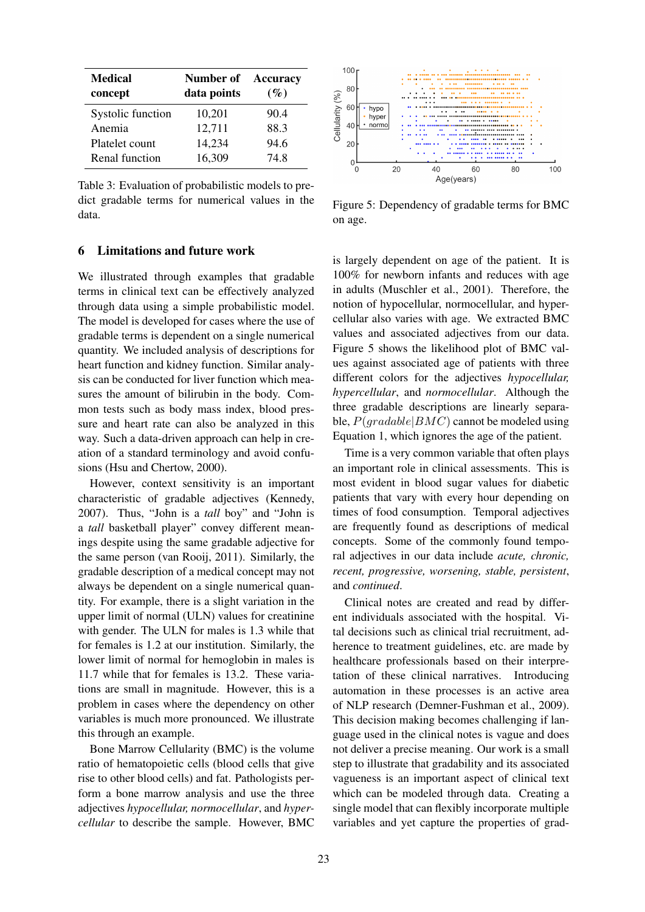| <b>Medical</b><br>concept | Number of<br>data points | <b>Accuracy</b><br>(%) |
|---------------------------|--------------------------|------------------------|
| Systolic function         | 10,201                   | 90.4                   |
| Anemia                    | 12,711                   | 88.3                   |
| Platelet count            | 14,234                   | 94.6                   |
| Renal function            | 16,309                   | 74.8                   |

Table 3: Evaluation of probabilistic models to predict gradable terms for numerical values in the data.

## 6 Limitations and future work

We illustrated through examples that gradable terms in clinical text can be effectively analyzed through data using a simple probabilistic model. The model is developed for cases where the use of gradable terms is dependent on a single numerical quantity. We included analysis of descriptions for heart function and kidney function. Similar analysis can be conducted for liver function which measures the amount of bilirubin in the body. Common tests such as body mass index, blood pressure and heart rate can also be analyzed in this way. Such a data-driven approach can help in creation of a standard terminology and avoid confusions (Hsu and Chertow, 2000).

However, context sensitivity is an important characteristic of gradable adjectives (Kennedy, 2007). Thus, "John is a *tall* boy" and "John is a *tall* basketball player" convey different meanings despite using the same gradable adjective for the same person (van Rooij, 2011). Similarly, the gradable description of a medical concept may not always be dependent on a single numerical quantity. For example, there is a slight variation in the upper limit of normal (ULN) values for creatinine with gender. The ULN for males is 1.3 while that for females is 1.2 at our institution. Similarly, the lower limit of normal for hemoglobin in males is 11.7 while that for females is 13.2. These variations are small in magnitude. However, this is a problem in cases where the dependency on other variables is much more pronounced. We illustrate this through an example.

Bone Marrow Cellularity (BMC) is the volume ratio of hematopoietic cells (blood cells that give rise to other blood cells) and fat. Pathologists perform a bone marrow analysis and use the three adjectives *hypocellular, normocellular*, and *hypercellular* to describe the sample. However, BMC



Figure 5: Dependency of gradable terms for BMC on age.

is largely dependent on age of the patient. It is 100% for newborn infants and reduces with age in adults (Muschler et al., 2001). Therefore, the notion of hypocellular, normocellular, and hypercellular also varies with age. We extracted BMC values and associated adjectives from our data. Figure 5 shows the likelihood plot of BMC values against associated age of patients with three different colors for the adjectives *hypocellular, hypercellular*, and *normocellular*. Although the three gradable descriptions are linearly separable,  $P(\text{gradable}|BMC)$  cannot be modeled using Equation 1, which ignores the age of the patient.

Time is a very common variable that often plays an important role in clinical assessments. This is most evident in blood sugar values for diabetic patients that vary with every hour depending on times of food consumption. Temporal adjectives are frequently found as descriptions of medical concepts. Some of the commonly found temporal adjectives in our data include *acute, chronic, recent, progressive, worsening, stable, persistent*, and *continued*.

Clinical notes are created and read by different individuals associated with the hospital. Vital decisions such as clinical trial recruitment, adherence to treatment guidelines, etc. are made by healthcare professionals based on their interpretation of these clinical narratives. Introducing automation in these processes is an active area of NLP research (Demner-Fushman et al., 2009). This decision making becomes challenging if language used in the clinical notes is vague and does not deliver a precise meaning. Our work is a small step to illustrate that gradability and its associated vagueness is an important aspect of clinical text which can be modeled through data. Creating a single model that can flexibly incorporate multiple variables and yet capture the properties of grad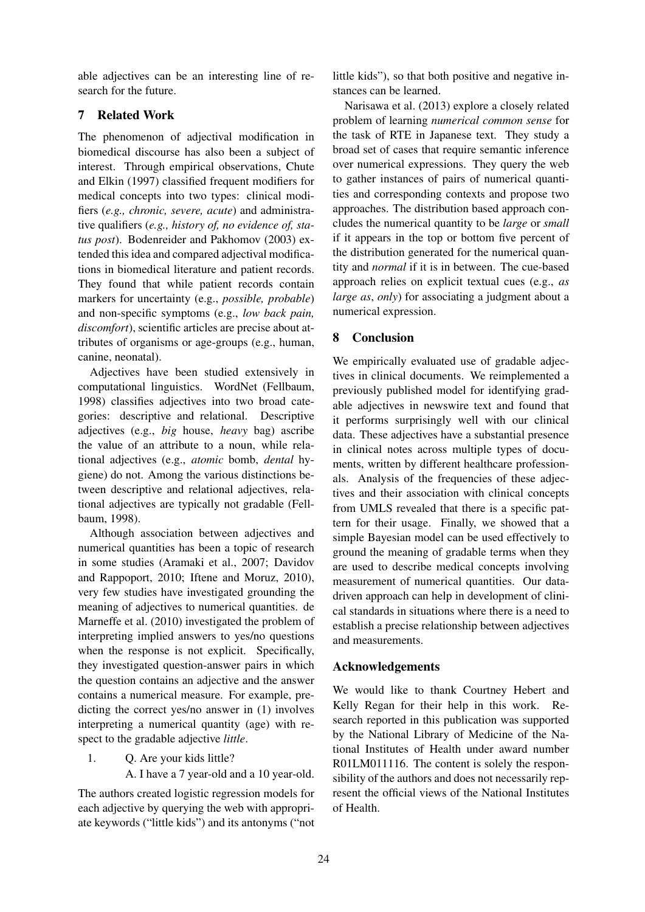able adjectives can be an interesting line of research for the future.

# 7 Related Work

The phenomenon of adjectival modification in biomedical discourse has also been a subject of interest. Through empirical observations, Chute and Elkin (1997) classified frequent modifiers for medical concepts into two types: clinical modifiers (*e.g., chronic, severe, acute*) and administrative qualifiers (*e.g., history of, no evidence of, status post*). Bodenreider and Pakhomov (2003) extended this idea and compared adjectival modifications in biomedical literature and patient records. They found that while patient records contain markers for uncertainty (e.g., *possible, probable*) and non-specific symptoms (e.g., *low back pain, discomfort*), scientific articles are precise about attributes of organisms or age-groups (e.g., human, canine, neonatal).

Adjectives have been studied extensively in computational linguistics. WordNet (Fellbaum, 1998) classifies adjectives into two broad categories: descriptive and relational. Descriptive adjectives (e.g., *big* house, *heavy* bag) ascribe the value of an attribute to a noun, while relational adjectives (e.g., *atomic* bomb, *dental* hygiene) do not. Among the various distinctions between descriptive and relational adjectives, relational adjectives are typically not gradable (Fellbaum, 1998).

Although association between adjectives and numerical quantities has been a topic of research in some studies (Aramaki et al., 2007; Davidov and Rappoport, 2010; Iftene and Moruz, 2010), very few studies have investigated grounding the meaning of adjectives to numerical quantities. de Marneffe et al. (2010) investigated the problem of interpreting implied answers to yes/no questions when the response is not explicit. Specifically, they investigated question-answer pairs in which the question contains an adjective and the answer contains a numerical measure. For example, predicting the correct yes/no answer in (1) involves interpreting a numerical quantity (age) with respect to the gradable adjective *little*.

- 1. Q. Are your kids little?
	- A. I have a 7 year-old and a 10 year-old.

The authors created logistic regression models for each adjective by querying the web with appropriate keywords ("little kids") and its antonyms ("not

little kids"), so that both positive and negative instances can be learned.

Narisawa et al. (2013) explore a closely related problem of learning *numerical common sense* for the task of RTE in Japanese text. They study a broad set of cases that require semantic inference over numerical expressions. They query the web to gather instances of pairs of numerical quantities and corresponding contexts and propose two approaches. The distribution based approach concludes the numerical quantity to be *large* or *small* if it appears in the top or bottom five percent of the distribution generated for the numerical quantity and *normal* if it is in between. The cue-based approach relies on explicit textual cues (e.g., *as large as*, *only*) for associating a judgment about a numerical expression.

# 8 Conclusion

We empirically evaluated use of gradable adjectives in clinical documents. We reimplemented a previously published model for identifying gradable adjectives in newswire text and found that it performs surprisingly well with our clinical data. These adjectives have a substantial presence in clinical notes across multiple types of documents, written by different healthcare professionals. Analysis of the frequencies of these adjectives and their association with clinical concepts from UMLS revealed that there is a specific pattern for their usage. Finally, we showed that a simple Bayesian model can be used effectively to ground the meaning of gradable terms when they are used to describe medical concepts involving measurement of numerical quantities. Our datadriven approach can help in development of clinical standards in situations where there is a need to establish a precise relationship between adjectives and measurements.

# Acknowledgements

We would like to thank Courtney Hebert and Kelly Regan for their help in this work. Research reported in this publication was supported by the National Library of Medicine of the National Institutes of Health under award number R01LM011116. The content is solely the responsibility of the authors and does not necessarily represent the official views of the National Institutes of Health.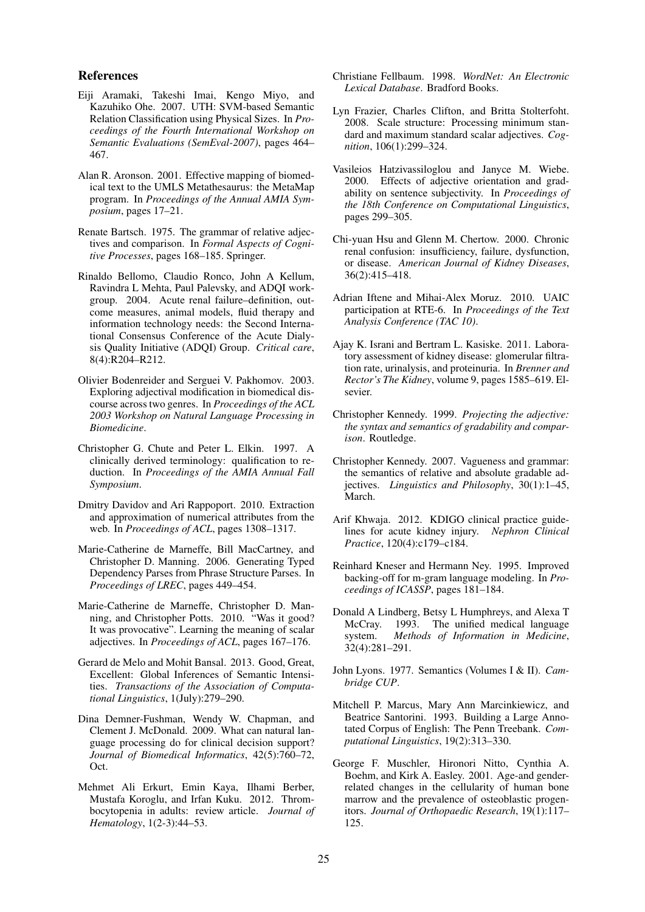#### References

- Eiji Aramaki, Takeshi Imai, Kengo Miyo, and Kazuhiko Ohe. 2007. UTH: SVM-based Semantic Relation Classification using Physical Sizes. In *Proceedings of the Fourth International Workshop on Semantic Evaluations (SemEval-2007)*, pages 464– 467.
- Alan R. Aronson. 2001. Effective mapping of biomedical text to the UMLS Metathesaurus: the MetaMap program. In *Proceedings of the Annual AMIA Symposium*, pages 17–21.
- Renate Bartsch. 1975. The grammar of relative adjectives and comparison. In *Formal Aspects of Cognitive Processes*, pages 168–185. Springer.
- Rinaldo Bellomo, Claudio Ronco, John A Kellum, Ravindra L Mehta, Paul Palevsky, and ADQI workgroup. 2004. Acute renal failure–definition, outcome measures, animal models, fluid therapy and information technology needs: the Second International Consensus Conference of the Acute Dialysis Quality Initiative (ADQI) Group. *Critical care*, 8(4):R204–R212.
- Olivier Bodenreider and Serguei V. Pakhomov. 2003. Exploring adjectival modification in biomedical discourse across two genres. In *Proceedings of the ACL 2003 Workshop on Natural Language Processing in Biomedicine*.
- Christopher G. Chute and Peter L. Elkin. 1997. A clinically derived terminology: qualification to reduction. In *Proceedings of the AMIA Annual Fall Symposium*.
- Dmitry Davidov and Ari Rappoport. 2010. Extraction and approximation of numerical attributes from the web. In *Proceedings of ACL*, pages 1308–1317.
- Marie-Catherine de Marneffe, Bill MacCartney, and Christopher D. Manning. 2006. Generating Typed Dependency Parses from Phrase Structure Parses. In *Proceedings of LREC*, pages 449–454.
- Marie-Catherine de Marneffe, Christopher D. Manning, and Christopher Potts. 2010. "Was it good? It was provocative". Learning the meaning of scalar adjectives. In *Proceedings of ACL*, pages 167–176.
- Gerard de Melo and Mohit Bansal. 2013. Good, Great, Excellent: Global Inferences of Semantic Intensities. *Transactions of the Association of Computational Linguistics*, 1(July):279–290.
- Dina Demner-Fushman, Wendy W. Chapman, and Clement J. McDonald. 2009. What can natural language processing do for clinical decision support? *Journal of Biomedical Informatics*, 42(5):760–72, Oct.
- Mehmet Ali Erkurt, Emin Kaya, Ilhami Berber, Mustafa Koroglu, and Irfan Kuku. 2012. Thrombocytopenia in adults: review article. *Journal of Hematology*, 1(2-3):44–53.
- Christiane Fellbaum. 1998. *WordNet: An Electronic Lexical Database*. Bradford Books.
- Lyn Frazier, Charles Clifton, and Britta Stolterfoht. 2008. Scale structure: Processing minimum standard and maximum standard scalar adjectives. *Cognition*, 106(1):299–324.
- Vasileios Hatzivassiloglou and Janyce M. Wiebe. 2000. Effects of adjective orientation and gradability on sentence subjectivity. In *Proceedings of the 18th Conference on Computational Linguistics*, pages 299–305.
- Chi-yuan Hsu and Glenn M. Chertow. 2000. Chronic renal confusion: insufficiency, failure, dysfunction, or disease. *American Journal of Kidney Diseases*, 36(2):415–418.
- Adrian Iftene and Mihai-Alex Moruz. 2010. UAIC participation at RTE-6. In *Proceedings of the Text Analysis Conference (TAC 10)*.
- Ajay K. Israni and Bertram L. Kasiske. 2011. Laboratory assessment of kidney disease: glomerular filtration rate, urinalysis, and proteinuria. In *Brenner and Rector's The Kidney*, volume 9, pages 1585–619. Elsevier.
- Christopher Kennedy. 1999. *Projecting the adjective: the syntax and semantics of gradability and comparison*. Routledge.
- Christopher Kennedy. 2007. Vagueness and grammar: the semantics of relative and absolute gradable adjectives. *Linguistics and Philosophy*, 30(1):1–45, March.
- Arif Khwaja. 2012. KDIGO clinical practice guidelines for acute kidney injury. *Nephron Clinical Practice*, 120(4):c179–c184.
- Reinhard Kneser and Hermann Ney. 1995. Improved backing-off for m-gram language modeling. In *Proceedings of ICASSP*, pages 181–184.
- Donald A Lindberg, Betsy L Humphreys, and Alexa T McCray. 1993. The unified medical language system. *Methods of Information in Medicine*, 32(4):281–291.
- John Lyons. 1977. Semantics (Volumes I & II). *Cambridge CUP*.
- Mitchell P. Marcus, Mary Ann Marcinkiewicz, and Beatrice Santorini. 1993. Building a Large Annotated Corpus of English: The Penn Treebank. *Computational Linguistics*, 19(2):313–330.
- George F. Muschler, Hironori Nitto, Cynthia A. Boehm, and Kirk A. Easley. 2001. Age-and genderrelated changes in the cellularity of human bone marrow and the prevalence of osteoblastic progenitors. *Journal of Orthopaedic Research*, 19(1):117– 125.